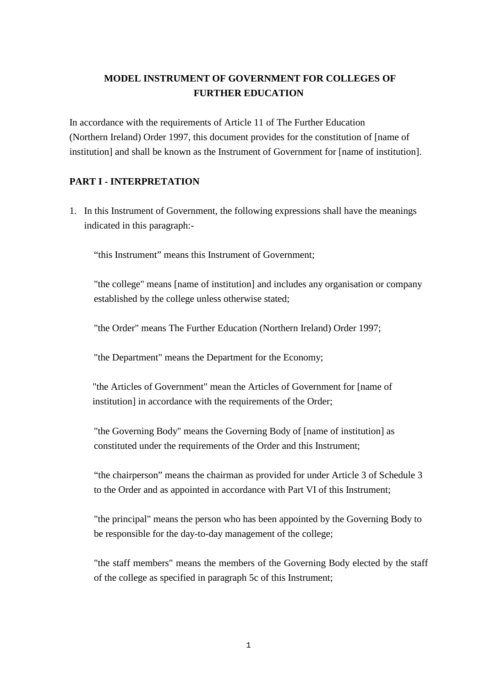# **MODEL INSTRUMENT OF GOVERNMENT FOR COLLEGES OF FURTHER EDUCATION**

In accordance with the requirements of Article 11 of The Further Education (Northern Ireland) Order 1997, this document provides for the constitution of [name of institution] and shall be known as the Instrument of Government for [name of institution].

### **PART I - INTERPRETATION**

1. In this Instrument of Government, the following expressions shall have the meanings indicated in this paragraph:-

"this Instrument" means this Instrument of Government;

"the college" means [name of institution] and includes any organisation or company established by the college unless otherwise stated;

"the Order" means The Further Education (Northern Ireland) Order 1997;

"the Department" means the Department for the Economy;

"the Articles of Government" mean the Articles of Government for [name of institution] in accordance with the requirements of the Order;

"the Governing Body" means the Governing Body of [name of institution] as constituted under the requirements of the Order and this Instrument;

"the chairperson" means the chairman as provided for under Article 3 of Schedule 3 to the Order and as appointed in accordance with Part VI of this Instrument;

"the principal" means the person who has been appointed by the Governing Body to be responsible for the day-to-day management of the college;

"the staff members" means the members of the Governing Body elected by the staff of the college as specified in paragraph 5c of this Instrument;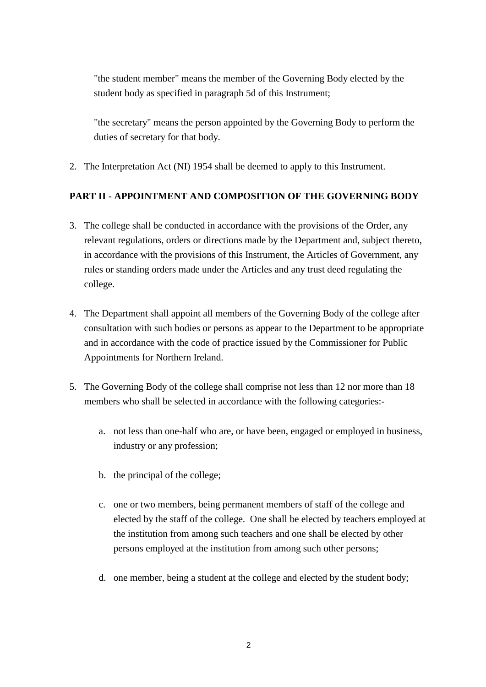"the student member" means the member of the Governing Body elected by the student body as specified in paragraph 5d of this Instrument;

"the secretary" means the person appointed by the Governing Body to perform the duties of secretary for that body.

2. The Interpretation Act (NI) 1954 shall be deemed to apply to this Instrument.

## **PART II - APPOINTMENT AND COMPOSITION OF THE GOVERNING BODY**

- 3. The college shall be conducted in accordance with the provisions of the Order, any relevant regulations, orders or directions made by the Department and, subject thereto, in accordance with the provisions of this Instrument, the Articles of Government, any rules or standing orders made under the Articles and any trust deed regulating the college.
- 4. The Department shall appoint all members of the Governing Body of the college after consultation with such bodies or persons as appear to the Department to be appropriate and in accordance with the code of practice issued by the Commissioner for Public Appointments for Northern Ireland.
- 5. The Governing Body of the college shall comprise not less than 12 nor more than 18 members who shall be selected in accordance with the following categories:
	- a. not less than one-half who are, or have been, engaged or employed in business, industry or any profession;
	- b. the principal of the college;
	- c. one or two members, being permanent members of staff of the college and elected by the staff of the college. One shall be elected by teachers employed at the institution from among such teachers and one shall be elected by other persons employed at the institution from among such other persons;
	- d. one member, being a student at the college and elected by the student body;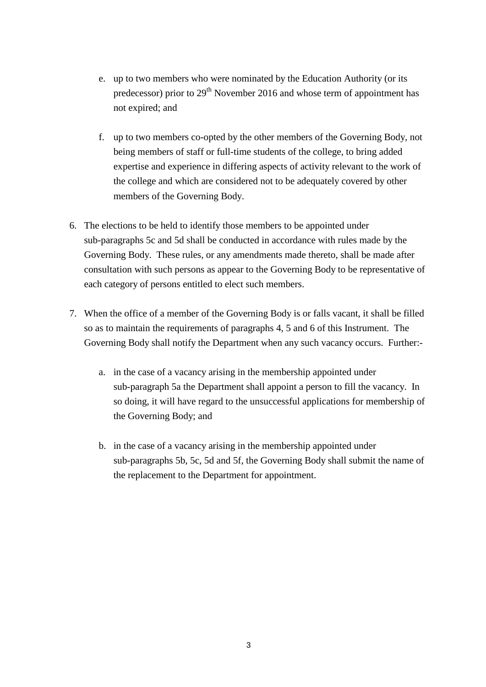- e. up to two members who were nominated by the Education Authority (or its predecessor) prior to 29<sup>th</sup> November 2016 and whose term of appointment has not expired; and
- f. up to two members co-opted by the other members of the Governing Body, not being members of staff or full-time students of the college, to bring added expertise and experience in differing aspects of activity relevant to the work of the college and which are considered not to be adequately covered by other members of the Governing Body.
- 6. The elections to be held to identify those members to be appointed under sub-paragraphs 5c and 5d shall be conducted in accordance with rules made by the Governing Body. These rules, or any amendments made thereto, shall be made after consultation with such persons as appear to the Governing Body to be representative of each category of persons entitled to elect such members.
- 7. When the office of a member of the Governing Body is or falls vacant, it shall be filled so as to maintain the requirements of paragraphs 4, 5 and 6 of this Instrument. The Governing Body shall notify the Department when any such vacancy occurs. Further:
	- a. in the case of a vacancy arising in the membership appointed under sub-paragraph 5a the Department shall appoint a person to fill the vacancy. In so doing, it will have regard to the unsuccessful applications for membership of the Governing Body; and
	- b. in the case of a vacancy arising in the membership appointed under sub-paragraphs 5b, 5c, 5d and 5f, the Governing Body shall submit the name of the replacement to the Department for appointment.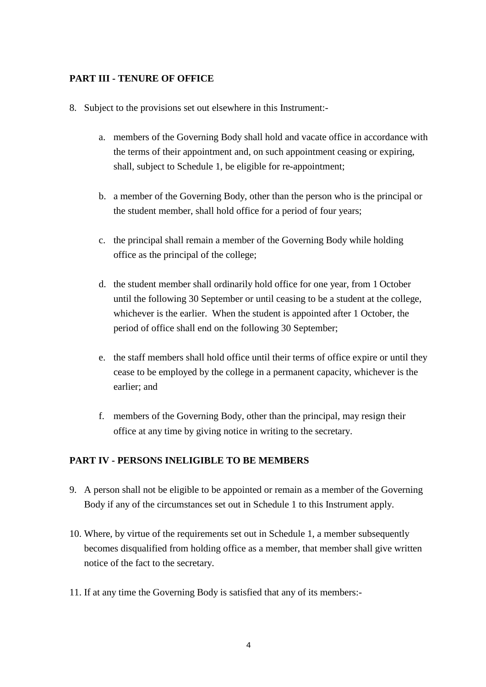#### **PART III - TENURE OF OFFICE**

- 8. Subject to the provisions set out elsewhere in this Instrument:
	- a. members of the Governing Body shall hold and vacate office in accordance with the terms of their appointment and, on such appointment ceasing or expiring, shall, subject to Schedule 1, be eligible for re-appointment;
	- b. a member of the Governing Body, other than the person who is the principal or the student member, shall hold office for a period of four years;
	- c. the principal shall remain a member of the Governing Body while holding office as the principal of the college;
	- d. the student member shall ordinarily hold office for one year, from 1 October until the following 30 September or until ceasing to be a student at the college, whichever is the earlier. When the student is appointed after 1 October, the period of office shall end on the following 30 September;
	- e. the staff members shall hold office until their terms of office expire or until they cease to be employed by the college in a permanent capacity, whichever is the earlier; and
	- f. members of the Governing Body, other than the principal, may resign their office at any time by giving notice in writing to the secretary.

#### **PART IV - PERSONS INELIGIBLE TO BE MEMBERS**

- 9. A person shall not be eligible to be appointed or remain as a member of the Governing Body if any of the circumstances set out in Schedule 1 to this Instrument apply.
- 10. Where, by virtue of the requirements set out in Schedule 1, a member subsequently becomes disqualified from holding office as a member, that member shall give written notice of the fact to the secretary.
- 11. If at any time the Governing Body is satisfied that any of its members:-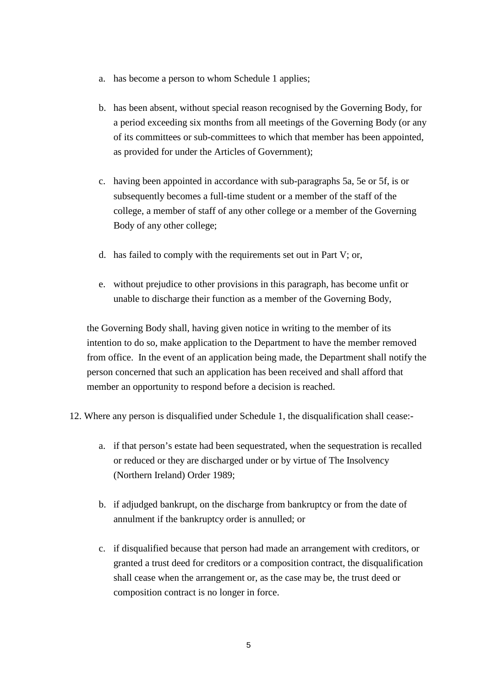- a. has become a person to whom Schedule 1 applies;
- b. has been absent, without special reason recognised by the Governing Body, for a period exceeding six months from all meetings of the Governing Body (or any of its committees or sub-committees to which that member has been appointed, as provided for under the Articles of Government);
- c. having been appointed in accordance with sub-paragraphs 5a, 5e or 5f, is or subsequently becomes a full-time student or a member of the staff of the college, a member of staff of any other college or a member of the Governing Body of any other college;
- d. has failed to comply with the requirements set out in Part V; or,
- e. without prejudice to other provisions in this paragraph, has become unfit or unable to discharge their function as a member of the Governing Body,

the Governing Body shall, having given notice in writing to the member of its intention to do so, make application to the Department to have the member removed from office. In the event of an application being made, the Department shall notify the person concerned that such an application has been received and shall afford that member an opportunity to respond before a decision is reached.

- 12. Where any person is disqualified under Schedule 1, the disqualification shall cease:
	- a. if that person's estate had been sequestrated, when the sequestration is recalled or reduced or they are discharged under or by virtue of The Insolvency (Northern Ireland) Order 1989;
	- b. if adjudged bankrupt, on the discharge from bankruptcy or from the date of annulment if the bankruptcy order is annulled; or
	- c. if disqualified because that person had made an arrangement with creditors, or granted a trust deed for creditors or a composition contract, the disqualification shall cease when the arrangement or, as the case may be, the trust deed or composition contract is no longer in force.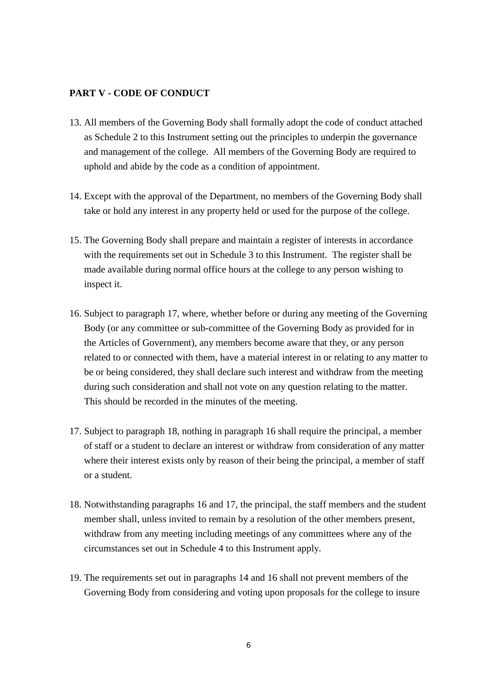#### **PART V - CODE OF CONDUCT**

- 13. All members of the Governing Body shall formally adopt the code of conduct attached as Schedule 2 to this Instrument setting out the principles to underpin the governance and management of the college. All members of the Governing Body are required to uphold and abide by the code as a condition of appointment.
- 14. Except with the approval of the Department, no members of the Governing Body shall take or hold any interest in any property held or used for the purpose of the college.
- 15. The Governing Body shall prepare and maintain a register of interests in accordance with the requirements set out in Schedule 3 to this Instrument. The register shall be made available during normal office hours at the college to any person wishing to inspect it.
- 16. Subject to paragraph 17, where, whether before or during any meeting of the Governing Body (or any committee or sub-committee of the Governing Body as provided for in the Articles of Government), any members become aware that they, or any person related to or connected with them, have a material interest in or relating to any matter to be or being considered, they shall declare such interest and withdraw from the meeting during such consideration and shall not vote on any question relating to the matter. This should be recorded in the minutes of the meeting.
- 17. Subject to paragraph 18, nothing in paragraph 16 shall require the principal, a member of staff or a student to declare an interest or withdraw from consideration of any matter where their interest exists only by reason of their being the principal, a member of staff or a student.
- 18. Notwithstanding paragraphs 16 and 17, the principal, the staff members and the student member shall, unless invited to remain by a resolution of the other members present, withdraw from any meeting including meetings of any committees where any of the circumstances set out in Schedule 4 to this Instrument apply.
- 19. The requirements set out in paragraphs 14 and 16 shall not prevent members of the Governing Body from considering and voting upon proposals for the college to insure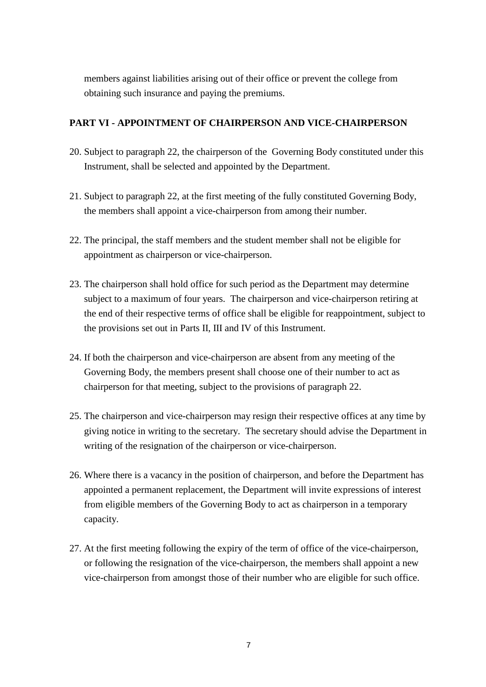members against liabilities arising out of their office or prevent the college from obtaining such insurance and paying the premiums.

#### **PART VI - APPOINTMENT OF CHAIRPERSON AND VICE-CHAIRPERSON**

- 20. Subject to paragraph 22, the chairperson of the Governing Body constituted under this Instrument, shall be selected and appointed by the Department.
- 21. Subject to paragraph 22, at the first meeting of the fully constituted Governing Body, the members shall appoint a vice-chairperson from among their number.
- 22. The principal, the staff members and the student member shall not be eligible for appointment as chairperson or vice-chairperson.
- 23. The chairperson shall hold office for such period as the Department may determine subject to a maximum of four years. The chairperson and vice-chairperson retiring at the end of their respective terms of office shall be eligible for reappointment, subject to the provisions set out in Parts II, III and IV of this Instrument.
- 24. If both the chairperson and vice-chairperson are absent from any meeting of the Governing Body, the members present shall choose one of their number to act as chairperson for that meeting, subject to the provisions of paragraph 22.
- 25. The chairperson and vice-chairperson may resign their respective offices at any time by giving notice in writing to the secretary. The secretary should advise the Department in writing of the resignation of the chairperson or vice-chairperson.
- 26. Where there is a vacancy in the position of chairperson, and before the Department has appointed a permanent replacement, the Department will invite expressions of interest from eligible members of the Governing Body to act as chairperson in a temporary capacity.
- 27. At the first meeting following the expiry of the term of office of the vice-chairperson, or following the resignation of the vice-chairperson, the members shall appoint a new vice-chairperson from amongst those of their number who are eligible for such office.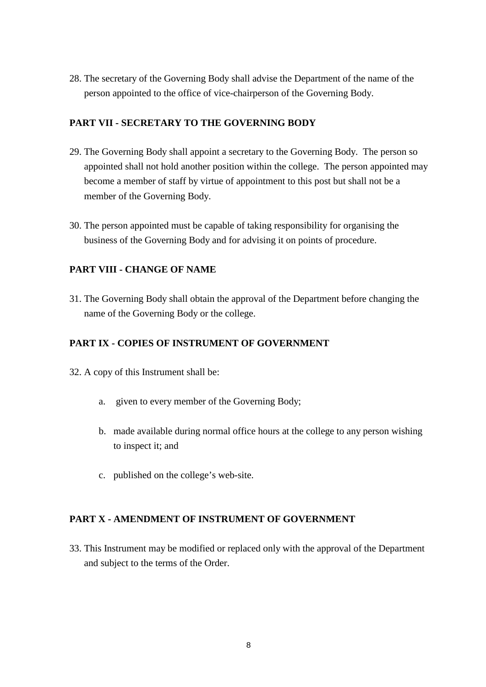28. The secretary of the Governing Body shall advise the Department of the name of the person appointed to the office of vice-chairperson of the Governing Body.

## **PART VII - SECRETARY TO THE GOVERNING BODY**

- 29. The Governing Body shall appoint a secretary to the Governing Body. The person so appointed shall not hold another position within the college. The person appointed may become a member of staff by virtue of appointment to this post but shall not be a member of the Governing Body.
- 30. The person appointed must be capable of taking responsibility for organising the business of the Governing Body and for advising it on points of procedure.

### **PART VIII - CHANGE OF NAME**

31. The Governing Body shall obtain the approval of the Department before changing the name of the Governing Body or the college.

#### **PART IX - COPIES OF INSTRUMENT OF GOVERNMENT**

- 32. A copy of this Instrument shall be:
	- a. given to every member of the Governing Body;
	- b. made available during normal office hours at the college to any person wishing to inspect it; and
	- c. published on the college's web-site.

#### **PART X - AMENDMENT OF INSTRUMENT OF GOVERNMENT**

33. This Instrument may be modified or replaced only with the approval of the Department and subject to the terms of the Order.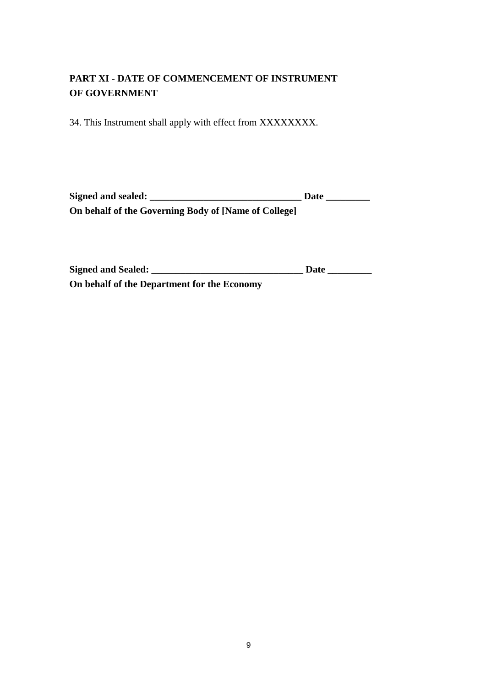# **PART XI - DATE OF COMMENCEMENT OF INSTRUMENT OF GOVERNMENT**

34. This Instrument shall apply with effect from XXXXXXXX.

| Signed and sealed:                                   | Date |
|------------------------------------------------------|------|
| On behalf of the Governing Body of [Name of College] |      |

| Signed and Sealed:                          | Date |
|---------------------------------------------|------|
| On behalf of the Department for the Economy |      |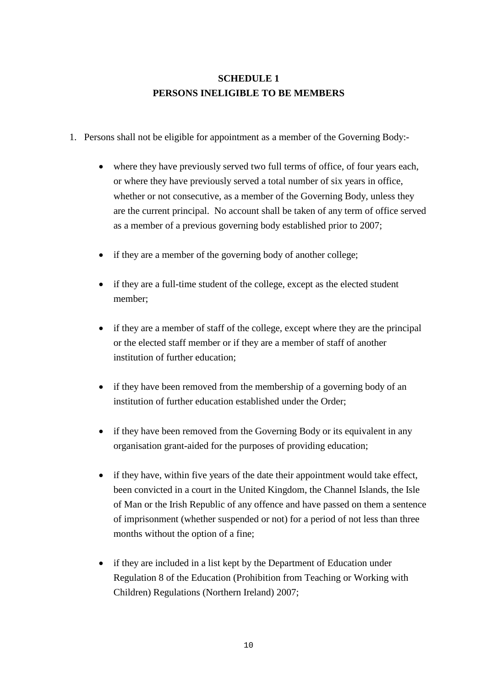# **SCHEDULE 1 PERSONS INELIGIBLE TO BE MEMBERS**

- 1. Persons shall not be eligible for appointment as a member of the Governing Body:-
	- where they have previously served two full terms of office, of four years each, or where they have previously served a total number of six years in office, whether or not consecutive, as a member of the Governing Body, unless they are the current principal. No account shall be taken of any term of office served as a member of a previous governing body established prior to 2007;
	- if they are a member of the governing body of another college;
	- if they are a full-time student of the college, except as the elected student member;
	- if they are a member of staff of the college, except where they are the principal or the elected staff member or if they are a member of staff of another institution of further education;
	- if they have been removed from the membership of a governing body of an institution of further education established under the Order;
	- if they have been removed from the Governing Body or its equivalent in any organisation grant-aided for the purposes of providing education;
	- if they have, within five years of the date their appointment would take effect, been convicted in a court in the United Kingdom, the Channel Islands, the Isle of Man or the Irish Republic of any offence and have passed on them a sentence of imprisonment (whether suspended or not) for a period of not less than three months without the option of a fine;
	- if they are included in a list kept by the Department of Education under Regulation 8 of the Education (Prohibition from Teaching or Working with Children) Regulations (Northern Ireland) 2007;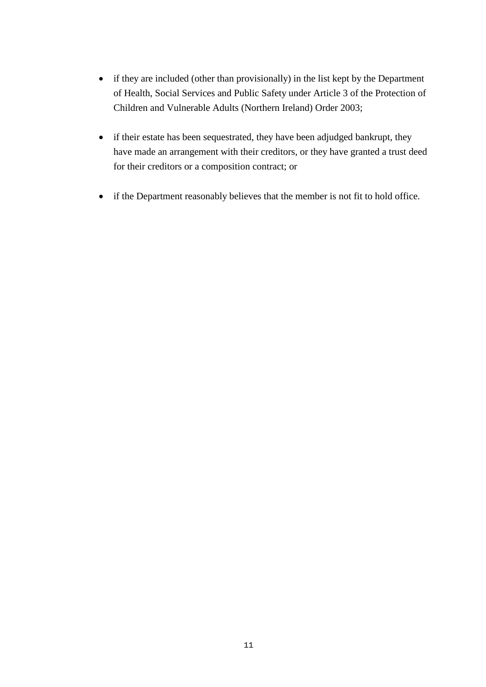- if they are included (other than provisionally) in the list kept by the Department of Health, Social Services and Public Safety under Article 3 of the Protection of Children and Vulnerable Adults (Northern Ireland) Order 2003;
- if their estate has been sequestrated, they have been adjudged bankrupt, they have made an arrangement with their creditors, or they have granted a trust deed for their creditors or a composition contract; or
- if the Department reasonably believes that the member is not fit to hold office.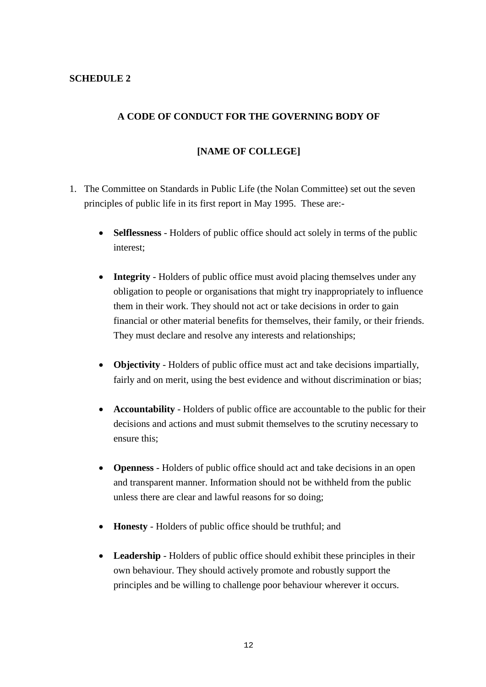### **SCHEDULE 2**

#### **A CODE OF CONDUCT FOR THE GOVERNING BODY OF**

#### **[NAME OF COLLEGE]**

- 1. The Committee on Standards in Public Life (the Nolan Committee) set out the seven principles of public life in its first report in May 1995. These are:-
	- **Selflessness** Holders of public office should act solely in terms of the public interest;
	- **Integrity** Holders of public office must avoid placing themselves under any obligation to people or organisations that might try inappropriately to influence them in their work. They should not act or take decisions in order to gain financial or other material benefits for themselves, their family, or their friends. They must declare and resolve any interests and relationships;
	- **Objectivity** Holders of public office must act and take decisions impartially, fairly and on merit, using the best evidence and without discrimination or bias;
	- **Accountability** Holders of public office are accountable to the public for their decisions and actions and must submit themselves to the scrutiny necessary to ensure this;
	- **Openness** Holders of public office should act and take decisions in an open and transparent manner. Information should not be withheld from the public unless there are clear and lawful reasons for so doing;
	- **Honesty** Holders of public office should be truthful; and
	- **Leadership** Holders of public office should exhibit these principles in their own behaviour. They should actively promote and robustly support the principles and be willing to challenge poor behaviour wherever it occurs.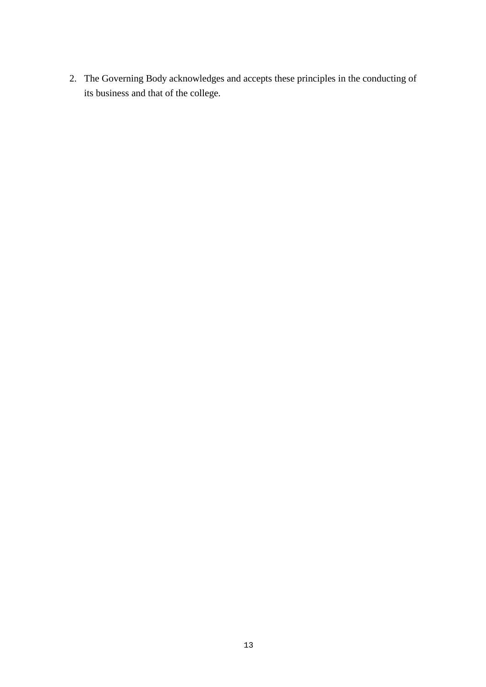2. The Governing Body acknowledges and accepts these principles in the conducting of its business and that of the college.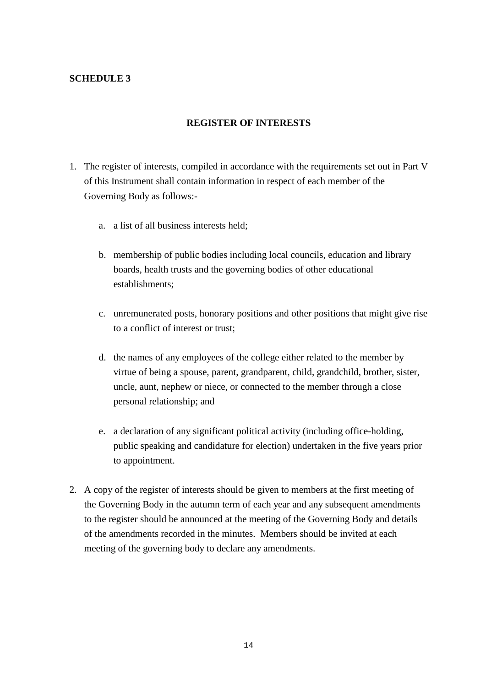### **SCHEDULE 3**

#### **REGISTER OF INTERESTS**

- 1. The register of interests, compiled in accordance with the requirements set out in Part V of this Instrument shall contain information in respect of each member of the Governing Body as follows:
	- a. a list of all business interests held;
	- b. membership of public bodies including local councils, education and library boards, health trusts and the governing bodies of other educational establishments;
	- c. unremunerated posts, honorary positions and other positions that might give rise to a conflict of interest or trust;
	- d. the names of any employees of the college either related to the member by virtue of being a spouse, parent, grandparent, child, grandchild, brother, sister, uncle, aunt, nephew or niece, or connected to the member through a close personal relationship; and
	- e. a declaration of any significant political activity (including office-holding, public speaking and candidature for election) undertaken in the five years prior to appointment.
- 2. A copy of the register of interests should be given to members at the first meeting of the Governing Body in the autumn term of each year and any subsequent amendments to the register should be announced at the meeting of the Governing Body and details of the amendments recorded in the minutes. Members should be invited at each meeting of the governing body to declare any amendments.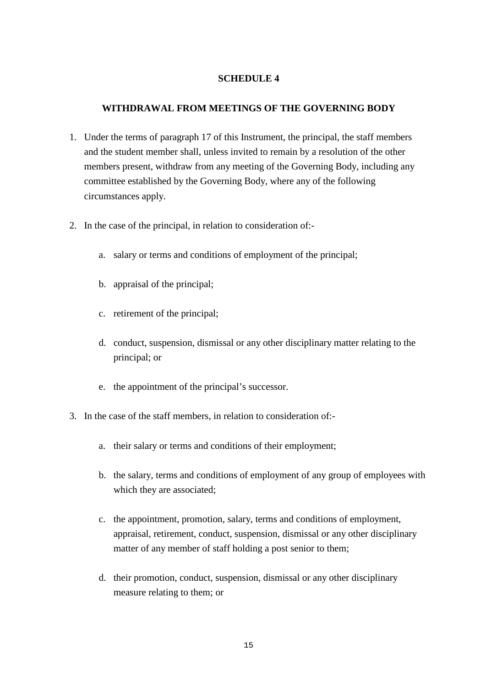#### **SCHEDULE 4**

#### **WITHDRAWAL FROM MEETINGS OF THE GOVERNING BODY**

- 1. Under the terms of paragraph 17 of this Instrument, the principal, the staff members and the student member shall, unless invited to remain by a resolution of the other members present, withdraw from any meeting of the Governing Body, including any committee established by the Governing Body, where any of the following circumstances apply.
- 2. In the case of the principal, in relation to consideration of:
	- a. salary or terms and conditions of employment of the principal;
	- b. appraisal of the principal;
	- c. retirement of the principal;
	- d. conduct, suspension, dismissal or any other disciplinary matter relating to the principal; or
	- e. the appointment of the principal's successor.
- 3. In the case of the staff members, in relation to consideration of:
	- a. their salary or terms and conditions of their employment;
	- b. the salary, terms and conditions of employment of any group of employees with which they are associated;
	- c. the appointment, promotion, salary, terms and conditions of employment, appraisal, retirement, conduct, suspension, dismissal or any other disciplinary matter of any member of staff holding a post senior to them;
	- d. their promotion, conduct, suspension, dismissal or any other disciplinary measure relating to them; or